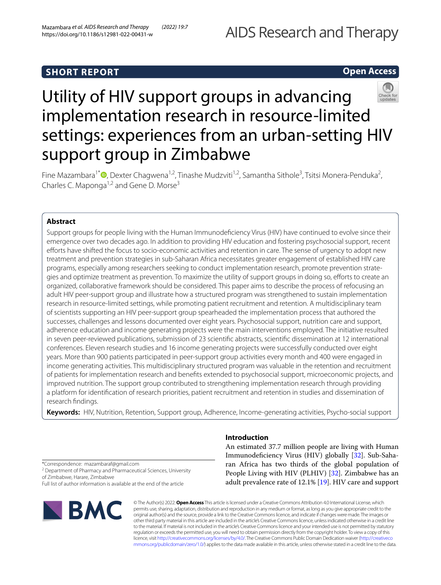# **SHORT REPORT**

# **Open Access**



# Utility of HIV support groups in advancing implementation research in resource-limited settings: experiences from an urban-setting HIV support group in Zimbabwe

Fine Mazambara<sup>1\*</sup><sup>®</sup>[,](http://orcid.org/0000-0002-0578-9851) Dexter Chagwena<sup>1,2</sup>, Tinashe Mudzviti<sup>1,2</sup>, Samantha Sithole<sup>3</sup>, Tsitsi Monera-Penduka<sup>2</sup>, Charles C. Maponga<sup>1,2</sup> and Gene D. Morse<sup>3</sup>

# **Abstract**

Support groups for people living with the Human Immunodefciency Virus (HIV) have continued to evolve since their emergence over two decades ago. In addition to providing HIV education and fostering psychosocial support, recent efforts have shifted the focus to socio-economic activities and retention in care. The sense of urgency to adopt new treatment and prevention strategies in sub-Saharan Africa necessitates greater engagement of established HIV care programs, especially among researchers seeking to conduct implementation research, promote prevention strategies and optimize treatment as prevention. To maximize the utility of support groups in doing so, eforts to create an organized, collaborative framework should be considered. This paper aims to describe the process of refocusing an adult HIV peer-support group and illustrate how a structured program was strengthened to sustain implementation research in resource-limited settings, while promoting patient recruitment and retention. A multidisciplinary team of scientists supporting an HIV peer-support group spearheaded the implementation process that authored the successes, challenges and lessons documented over eight years. Psychosocial support, nutrition care and support, adherence education and income generating projects were the main interventions employed. The initiative resulted in seven peer-reviewed publications, submission of 23 scientifc abstracts, scientifc dissemination at 12 international conferences. Eleven research studies and 16 income generating projects were successfully conducted over eight years. More than 900 patients participated in peer-support group activities every month and 400 were engaged in income generating activities. This multidisciplinary structured program was valuable in the retention and recruitment of patients for implementation research and benefts extended to psychosocial support, microeconomic projects, and improved nutrition. The support group contributed to strengthening implementation research through providing a platform for identifcation of research priorities, patient recruitment and retention in studies and dissemination of research fndings.

**Keywords:** HIV, Nutrition, Retention, Support group, Adherence, Income-generating activities, Psycho-social support

# **Introduction**

An estimated 37.7 million people are living with Human Immunodefciency Virus (HIV) globally [[32\]](#page-9-0). Sub-Saharan Africa has two thirds of the global population of People Living with HIV (PLHIV) [\[32](#page-9-0)]. Zimbabwe has an adult prevalence rate of 12.1% [[19\]](#page-9-1). HIV care and support

© The Author(s) 2022. **Open Access** This article is licensed under a Creative Commons Attribution 4.0 International License, which permits use, sharing, adaptation, distribution and reproduction in any medium or format, as long as you give appropriate credit to the original author(s) and the source, provide a link to the Creative Commons licence, and indicate if changes were made. The images or other third party material in this article are included in the article's Creative Commons licence, unless indicated otherwise in a credit line to the material. If material is not included in the article's Creative Commons licence and your intended use is not permitted by statutory regulation or exceeds the permitted use, you will need to obtain permission directly from the copyright holder. To view a copy of this licence, visit [http://creativecommons.org/licenses/by/4.0/.](http://creativecommons.org/licenses/by/4.0/) The Creative Commons Public Domain Dedication waiver ([http://creativeco](http://creativecommons.org/publicdomain/zero/1.0/) [mmons.org/publicdomain/zero/1.0/](http://creativecommons.org/publicdomain/zero/1.0/)) applies to the data made available in this article, unless otherwise stated in a credit line to the data.

\*Correspondence: mazambaraf@gmail.com

<sup>2</sup> Department of Pharmacy and Pharmaceutical Sciences, University of Zimbabwe, Harare, Zimbabwe

Full list of author information is available at the end of the article

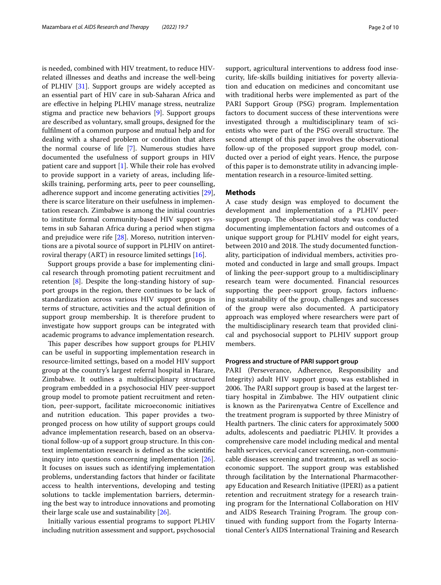is needed, combined with HIV treatment, to reduce HIVrelated illnesses and deaths and increase the well-being of PLHIV [\[31](#page-9-2)]. Support groups are widely accepted as an essential part of HIV care in sub-Saharan Africa and are effective in helping PLHIV manage stress, neutralize stigma and practice new behaviors [\[9\]](#page-9-3). Support groups are described as voluntary, small groups, designed for the fulflment of a common purpose and mutual help and for dealing with a shared problem or condition that alters the normal course of life [[7\]](#page-9-4). Numerous studies have documented the usefulness of support groups in HIV patient care and support [[1\]](#page-8-0). While their role has evolved to provide support in a variety of areas, including lifeskills training, performing arts, peer to peer counselling, adherence support and income generating activities [\[29](#page-9-5)], there is scarce literature on their usefulness in implementation research. Zimbabwe is among the initial countries to institute formal community-based HIV support systems in sub Saharan Africa during a period when stigma and prejudice were rife [\[28\]](#page-9-6). Moreso, nutrition interventions are a pivotal source of support in PLHIV on antiretroviral therapy (ART) in resource limited settings [\[16](#page-9-7)].

Support groups provide a base for implementing clinical research through promoting patient recruitment and retention [\[8](#page-9-8)]. Despite the long-standing history of support groups in the region, there continues to be lack of standardization across various HIV support groups in terms of structure, activities and the actual defnition of support group membership. It is therefore prudent to investigate how support groups can be integrated with academic programs to advance implementation research.

This paper describes how support groups for PLHIV can be useful in supporting implementation research in resource-limited settings, based on a model HIV support group at the country's largest referral hospital in Harare, Zimbabwe. It outlines a multidisciplinary structured program embedded in a psychosocial HIV peer-support group model to promote patient recruitment and retention, peer-support, facilitate microeconomic initiatives and nutrition education. This paper provides a twopronged process on how utility of support groups could advance implementation research, based on an observational follow-up of a support group structure. In this context implementation research is defned as the scientifc inquiry into questions concerning implementation [\[26](#page-9-9)]. It focuses on issues such as identifying implementation problems, understanding factors that hinder or facilitate access to health interventions, developing and testing solutions to tackle implementation barriers, determining the best way to introduce innovations and promoting their large scale use and sustainability [[26](#page-9-9)].

Initially various essential programs to support PLHIV including nutrition assessment and support, psychosocial support, agricultural interventions to address food insecurity, life-skills building initiatives for poverty alleviation and education on medicines and concomitant use with traditional herbs were implemented as part of the PARI Support Group (PSG) program. Implementation factors to document success of these interventions were investigated through a multidisciplinary team of scientists who were part of the PSG overall structure. The second attempt of this paper involves the observational follow-up of the proposed support group model, con-

ducted over a period of eight years. Hence, the purpose of this paper is to demonstrate utility in advancing imple-

mentation research in a resource-limited setting.

## **Methods**

A case study design was employed to document the development and implementation of a PLHIV peersupport group. The observational study was conducted documenting implementation factors and outcomes of a unique support group for PLHIV model for eight years, between 2010 and 2018. The study documented functionality, participation of individual members, activities promoted and conducted in large and small groups. Impact of linking the peer-support group to a multidisciplinary research team were documented. Financial resources supporting the peer-support group, factors infuencing sustainability of the group, challenges and successes of the group were also documented. A participatory approach was employed where researchers were part of the multidisciplinary research team that provided clinical and psychosocial support to PLHIV support group members.

# **Progress and structure of PARI support group**

PARI (Perseverance, Adherence, Responsibility and Integrity) adult HIV support group, was established in 2006. The PARI support group is based at the largest tertiary hospital in Zimbabwe. The HIV outpatient clinic is known as the Parirenyatwa Centre of Excellence and the treatment program is supported by three Ministry of Health partners. The clinic caters for approximately 5000 adults, adolescents and paediatric PLHIV. It provides a comprehensive care model including medical and mental health services, cervical cancer screening, non-communicable diseases screening and treatment, as well as socioeconomic support. The support group was established through facilitation by the International Pharmacotherapy Education and Research Initiative (IPERI) as a patient retention and recruitment strategy for a research training program for the International Collaboration on HIV and AIDS Research Training Program. The group continued with funding support from the Fogarty International Center's AIDS International Training and Research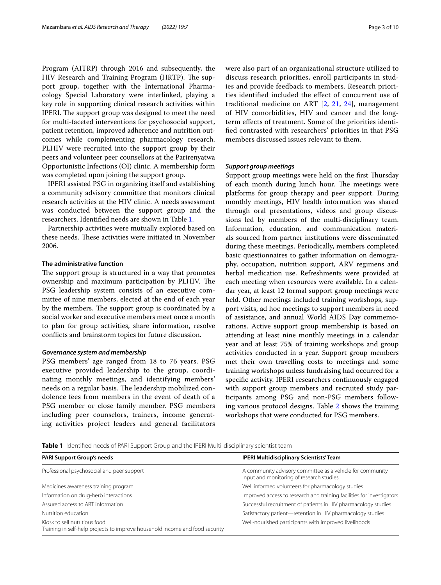Program (AITRP) through 2016 and subsequently, the HIV Research and Training Program (HRTP). The support group, together with the International Pharmacology Special Laboratory were interlinked, playing a key role in supporting clinical research activities within IPERI. The support group was designed to meet the need for multi-faceted interventions for psychosocial support, patient retention, improved adherence and nutrition outcomes while complementing pharmacology research. PLHIV were recruited into the support group by their peers and volunteer peer counsellors at the Parirenyatwa Opportunistic Infections (OI) clinic. A membership form was completed upon joining the support group.

IPERI assisted PSG in organizing itself and establishing a community advisory committee that monitors clinical research activities at the HIV clinic. A needs assessment was conducted between the support group and the researchers. Identifed needs are shown in Table [1.](#page-2-0)

Partnership activities were mutually explored based on these needs. These activities were initiated in November 2006.

#### **The administrative function**

The support group is structured in a way that promotes ownership and maximum participation by PLHIV. The PSG leadership system consists of an executive committee of nine members, elected at the end of each year by the members. The support group is coordinated by a social worker and executive members meet once a month to plan for group activities, share information, resolve conficts and brainstorm topics for future discussion.

#### *Governance system and membership*

PSG members' age ranged from 18 to 76 years. PSG executive provided leadership to the group, coordinating monthly meetings, and identifying members' needs on a regular basis. The leadership mobilized condolence fees from members in the event of death of a PSG member or close family member. PSG members including peer counselors, trainers, income generating activities project leaders and general facilitators were also part of an organizational structure utilized to discuss research priorities, enroll participants in studies and provide feedback to members. Research priorities identifed included the efect of concurrent use of traditional medicine on ART [\[2](#page-8-1), [21](#page-9-10), [24\]](#page-9-11), management of HIV comorbidities, HIV and cancer and the longterm efects of treatment. Some of the priorities identifed contrasted with researchers' priorities in that PSG members discussed issues relevant to them.

#### *Support group meetings*

Support group meetings were held on the first Thursday of each month during lunch hour. The meetings were platforms for group therapy and peer support. During monthly meetings, HIV health information was shared through oral presentations, videos and group discussions led by members of the multi-disciplinary team. Information, education, and communication materials sourced from partner institutions were disseminated during these meetings. Periodically, members completed basic questionnaires to gather information on demography, occupation, nutrition support, ARV regimens and herbal medication use. Refreshments were provided at each meeting when resources were available. In a calendar year, at least 12 formal support group meetings were held. Other meetings included training workshops, support visits, ad hoc meetings to support members in need of assistance, and annual World AIDS Day commemorations. Active support group membership is based on attending at least nine monthly meetings in a calendar year and at least 75% of training workshops and group activities conducted in a year. Support group members met their own travelling costs to meetings and some training workshops unless fundraising had occurred for a specifc activity. IPERI researchers continuously engaged with support group members and recruited study participants among PSG and non-PSG members following various protocol designs. Table [2](#page-3-0) shows the training workshops that were conducted for PSG members.

<span id="page-2-0"></span>**Table 1** Identifed needs of PARI Support Group and the IPERI Multi-disciplinary scientist team

| PARI Support Group's needs                                                                                    | <b>IPERI Multidisciplinary Scientists' Team</b>                                                       |
|---------------------------------------------------------------------------------------------------------------|-------------------------------------------------------------------------------------------------------|
| Professional psychosocial and peer support                                                                    | A community advisory committee as a vehicle for community<br>input and monitoring of research studies |
| Medicines awareness training program                                                                          | Well informed volunteers for pharmacology studies                                                     |
| Information on drug-herb interactions                                                                         | Improved access to research and training facilities for investigators                                 |
| Assured access to ART information                                                                             | Successful recruitment of patients in HIV pharmacology studies                                        |
| Nutrition education                                                                                           | Satisfactory patient—retention in HIV pharmacology studies                                            |
| Kiosk to sell nutritious food<br>Training in self-help projects to improve household income and food security | Well-nourished participants with improved livelihoods                                                 |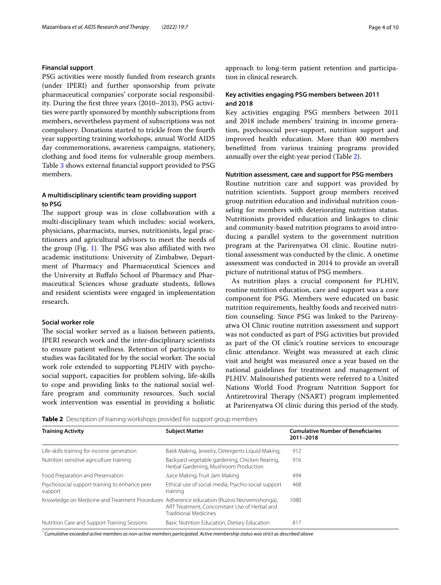## **Financial support**

PSG activities were mostly funded from research grants (under IPERI) and further sponsorship from private pharmaceutical companies' corporate social responsibility. During the frst three years (2010–2013), PSG activities were partly sponsored by monthly subscriptions from members, nevertheless payment of subscriptions was not compulsory. Donations started to trickle from the fourth year supporting training workshops, annual World AIDS day commemorations, awareness campaigns, stationery, clothing and food items for vulnerable group members. Table [3](#page-4-0) shows external fnancial support provided to PSG members.

# **A multidisciplinary scientifc team providing support to PSG**

The support group was in close collaboration with a multi-disciplinary team which includes: social workers, physicians, pharmacists, nurses, nutritionists, legal practitioners and agricultural advisors to meet the needs of the group (Fig. [1](#page-4-1)). The PSG was also affiliated with two academic institutions: University of Zimbabwe, Department of Pharmacy and Pharmaceutical Sciences and the University at Bufalo School of Pharmacy and Pharmaceutical Sciences whose graduate students, fellows and resident scientists were engaged in implementation research.

# **Social worker role**

The social worker served as a liaison between patients, IPERI research work and the inter-disciplinary scientists to ensure patient wellness. Retention of participants to studies was facilitated for by the social worker. The social work role extended to supporting PLHIV with psychosocial support, capacities for problem solving, life-skills to cope and providing links to the national social welfare program and community resources. Such social work intervention was essential in providing a holistic approach to long-term patient retention and participation in clinical research.

# **Key activities engaging PSG members between 2011 and 2018**

Key activities engaging PSG members between 2011 and 2018 include members' training in income generation, psychosocial peer-support, nutrition support and improved health education. More than 400 members beneftted from various training programs provided annually over the eight-year period (Table [2\)](#page-3-0).

# **Nutrition assessment, care and support for PSG members**

Routine nutrition care and support was provided by nutrition scientists. Support group members received group nutrition education and individual nutrition counseling for members with deteriorating nutrition status. Nutritionists provided education and linkages to clinic and community-based nutrition programs to avoid introducing a parallel system to the government nutrition program at the Parirenyatwa OI clinic. Routine nutritional assessment was conducted by the clinic. A onetime assessment was conducted in 2014 to provide an overall picture of nutritional status of PSG members.

As nutrition plays a crucial component for PLHIV, routine nutrition education, care and support was a core component for PSG. Members were educated on basic nutrition requirements, healthy foods and received nutrition counseling. Since PSG was linked to the Parirenyatwa OI Clinic routine nutrition assessment and support was not conducted as part of PSG activities but provided as part of the OI clinic's routine services to encourage clinic attendance. Weight was measured at each clinic visit and height was measured once a year based on the national guidelines for treatment and management of PLHIV. Malnourished patients were referred to a United Nations World Food Program Nutrition Support for Antiretroviral Therapy (NSART) program implemented at Parirenyatwa OI clinic during this period of the study.

<span id="page-3-0"></span>**Table 2** Description of training workshops provided for support group members

| <b>Training Activity</b>                                                                   | <b>Subject Matter</b>                                                                   | <b>Cumulative Number of Beneficiaries</b><br>2011-2018 |
|--------------------------------------------------------------------------------------------|-----------------------------------------------------------------------------------------|--------------------------------------------------------|
| Life-skills training for income generation                                                 | Batik Making, Jewelry, Detergents Liquid Making,                                        | 912                                                    |
| Nutrition sensitive agriculture training                                                   | Backyard vegetable gardening, Chicken Rearing,<br>Herbal Gardening, Mushroom Production | 916                                                    |
| Food Preparation and Preservation                                                          | Juice Making, Fruit Jam Making                                                          | 494                                                    |
| Psychosocial support training to enhance peer<br>support                                   | Ethical use of social media, Psycho-social support<br>training                          | 468                                                    |
| Knowledge on Medicine and Treatment Procedures Adherence education (Ruzivo Nezvemishonga), | ART Treatment, Concomitant Use of Herbal and<br><b>Traditional Medicines</b>            | 1080                                                   |
| Nutrition Care and Support Training Sessions                                               | Basic Nutrition Education, Dietary Education                                            | 817                                                    |

*\* Cumulative exceeded active members as non-active members participated. Active membership status was strict as described above*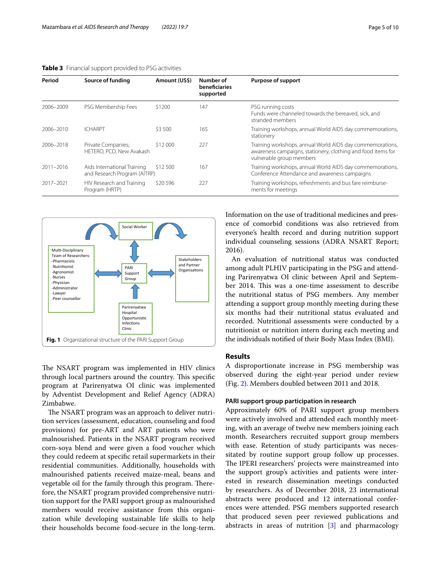#### <span id="page-4-0"></span>**Table 3** Financial support provided to PSG activities

| Period    | Source of funding                                           | Amount (US\$) | Number of<br>beneficiaries<br>supported | Purpose of support                                                                                                                                    |
|-----------|-------------------------------------------------------------|---------------|-----------------------------------------|-------------------------------------------------------------------------------------------------------------------------------------------------------|
| 2006-2009 | PSG Membership Fees                                         | \$1200        | 147                                     | PSG running costs<br>Funds were channeled towards the bereaved, sick, and<br>stranded members                                                         |
| 2006-2010 | <b>ICHARPT</b>                                              | \$3,500       | 165                                     | Training workshops, annual World AIDS day commemorations,<br>stationery                                                                               |
| 2006-2018 | Private Companies;<br>HETERO, PCD, New Avakash              | \$12,000      | 227                                     | Training workshops, annual World AIDS day commemorations,<br>awareness campaigns, stationery, clothing and food items for<br>vulnerable group members |
| 2011-2016 | Aids International Training<br>and Research Program (AITRP) | \$12 500      | 167                                     | Training workshops, annual World AIDS day commemorations,<br>Conference Attendance and awareness campaigns                                            |
| 2017-2021 | HIV Research and Training<br>Program (HRTP)                 | \$20 596      | 227                                     | Training workshops, refreshments and bus fare reimburse-<br>ments for meetings                                                                        |



<span id="page-4-1"></span>The NSART program was implemented in HIV clinics through local partners around the country. This specific program at Parirenyatwa OI clinic was implemented by Adventist Development and Relief Agency (ADRA) Zimbabwe.

The NSART program was an approach to deliver nutrition services (assessment, education, counseling and food provisions) for pre-ART and ART patients who were malnourished. Patients in the NSART program received corn-soya blend and were given a food voucher which they could redeem at specifc retail supermarkets in their residential communities. Additionally, households with malnourished patients received maize-meal, beans and vegetable oil for the family through this program. Therefore, the NSART program provided comprehensive nutrition support for the PARI support group as malnourished members would receive assistance from this organization while developing sustainable life skills to help their households become food-secure in the long-term. Information on the use of traditional medicines and presence of comorbid conditions was also retrieved from everyone's health record and during nutrition support individual counseling sessions (ADRA NSART Report; 2016).

An evaluation of nutritional status was conducted among adult PLHIV participating in the PSG and attending Parirenyatwa OI clinic between April and September 2014. This was a one-time assessment to describe the nutritional status of PSG members. Any member attending a support group monthly meeting during these six months had their nutritional status evaluated and recorded. Nutritional assessments were conducted by a nutritionist or nutrition intern during each meeting and the individuals notifed of their Body Mass Index (BMI).

# **Results**

A disproportionate increase in PSG membership was observed during the eight-year period under review (Fig. [2\)](#page-5-0). Members doubled between 2011 and 2018.

# **PARI support group participation in research**

Approximately 60% of PARI support group members were actively involved and attended each monthly meeting, with an average of twelve new members joining each month. Researchers recruited support group members with ease. Retention of study participants was necessitated by routine support group follow up processes. The IPERI researchers' projects were mainstreamed into the support group's activities and patients were interested in research dissemination meetings conducted by researchers. As of December 2018, 23 international abstracts were produced and 12 international conferences were attended. PSG members supported research that produced seven peer reviewed publications and abstracts in areas of nutrition [[3\]](#page-8-2) and pharmacology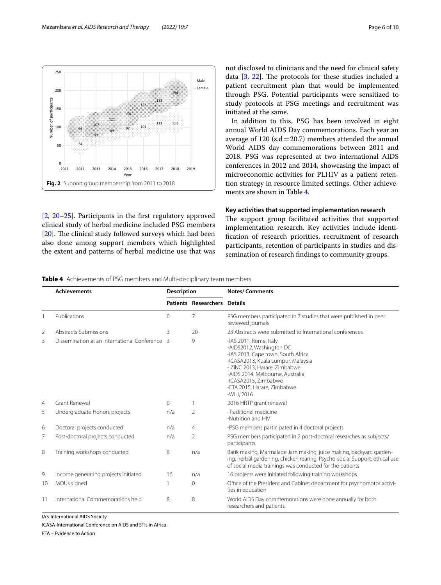

<span id="page-5-0"></span>[[2,](#page-8-1) [20–](#page-9-12)[25](#page-9-13)]. Participants in the frst regulatory approved clinical study of herbal medicine included PSG members [[20\]](#page-9-12). The clinical study followed surveys which had been also done among support members which highlighted the extent and patterns of herbal medicine use that was not disclosed to clinicians and the need for clinical safety data  $[3, 22]$  $[3, 22]$  $[3, 22]$  $[3, 22]$ . The protocols for these studies included a patient recruitment plan that would be implemented through PSG. Potential participants were sensitized to study protocols at PSG meetings and recruitment was initiated at the same.

In addition to this, PSG has been involved in eight annual World AIDS Day commemorations. Each year an average of 120 ( $s.d = 20.7$ ) members attended the annual World AIDS day commemorations between 2011 and 2018. PSG was represented at two international AIDS conferences in 2012 and 2014, showcasing the impact of microeconomic activities for PLHIV as a patient retention strategy in resource limited settings. Other achievements are shown in Table [4](#page-5-1).

# **Key activities that supported implementation research**

The support group facilitated activities that supported implementation research. Key activities include identifcation of research priorities, recruitment of research participants, retention of participants in studies and dissemination of research fndings to community groups.

<span id="page-5-1"></span>

| <b>Table 4</b> Achievements of PSG members and Multi-disciplinary team members |  |
|--------------------------------------------------------------------------------|--|
|--------------------------------------------------------------------------------|--|

|                | <b>Achievements</b>                            |              | <b>Description</b>   | <b>Notes/Comments</b>                                                                                                                                                                                                                                                    |
|----------------|------------------------------------------------|--------------|----------------------|--------------------------------------------------------------------------------------------------------------------------------------------------------------------------------------------------------------------------------------------------------------------------|
|                |                                                |              | Patients Researchers | <b>Details</b>                                                                                                                                                                                                                                                           |
|                | Publications                                   | $\Omega$     | 7                    | PSG members participated in 7 studies that were published in peer<br>reviewed journals                                                                                                                                                                                   |
| 2              | Abstracts Submissions                          | 3            | 20                   | 23 Abstracts were submitted to International conferences                                                                                                                                                                                                                 |
| 3              | Dissemination at an International Conference 3 |              | 9                    | -IAS 2011, Rome, Italy<br>-AIDS2012, Washington DC<br>-IAS 2013, Cape town, South Africa<br>-ICASA2013, Kuala Lumpur, Malaysia<br>- ZINC 2013, Harare, Zimbabwe<br>-AIDS 2014, Melbourne, Australia<br>-ICASA2015, Zimbabwe<br>-ETA 2015, Harare, Zimbabwe<br>-WHI, 2016 |
| $\overline{4}$ | <b>Grant Renewal</b>                           | $\mathbf{0}$ |                      | 2016 HRTP grant renewal                                                                                                                                                                                                                                                  |
| 5              | Undergraduate Honors projects                  | n/a          | $\overline{2}$       | -Traditional medicine<br>-Nutrition and HIV                                                                                                                                                                                                                              |
| 6              | Doctoral projects conducted                    | n/a          | $\overline{4}$       | -PSG members participated in 4 doctoral projects                                                                                                                                                                                                                         |
| 7              | Post-doctoral projects conducted               | n/a          | 2                    | PSG members participated in 2 post-doctoral researches as subjects/<br>participants                                                                                                                                                                                      |
| 8              | Training workshops conducted                   | 8            | n/a                  | Batik making, Marmalade Jam making, juice making, backyard garden-<br>ing, herbal gardening, chicken rearing, Psycho-social Support, ethical use<br>of social media trainings was conducted for the patients                                                             |
| 9              | Income generating projects initiated           | 16           | n/a                  | 16 projects were initiated following training workshops                                                                                                                                                                                                                  |
| 10             | MOUs signed                                    |              | $\Omega$             | Office of the President and Cabinet department for psychomotor activi-<br>ties in education                                                                                                                                                                              |
| 11             | International Commemorations held              | 8            | 8                    | World AIDS Day commemorations were done annually for both<br>researchers and patients                                                                                                                                                                                    |

IAS-International AIDS Society

ETA – Evidence to Action

ICASA-International Conference on AIDS and STIs in Africa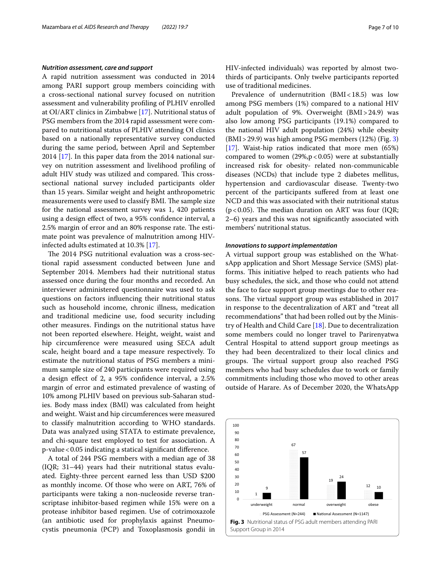#### *Nutrition assessment, care and support*

A rapid nutrition assessment was conducted in 2014 among PARI support group members coinciding with a cross-sectional national survey focused on nutrition assessment and vulnerability profling of PLHIV enrolled at OI/ART clinics in Zimbabwe [[17](#page-9-15)]. Nutritional status of PSG members from the 2014 rapid assessment were compared to nutritional status of PLHIV attending OI clinics based on a nationally representative survey conducted during the same period, between April and September 2014 [\[17](#page-9-15)]. In this paper data from the 2014 national survey on nutrition assessment and livelihood profling of adult HIV study was utilized and compared. This crosssectional national survey included participants older than 15 years. Similar weight and height anthropometric measurements were used to classify BMI. The sample size for the national assessment survey was 1, 420 patients using a design efect of two, a 95% confdence interval, a 2.5% margin of error and an 80% response rate. The estimate point was prevalence of malnutrition among HIVinfected adults estimated at 10.3% [[17](#page-9-15)].

The 2014 PSG nutritional evaluation was a cross-sectional rapid assessment conducted between June and September 2014. Members had their nutritional status assessed once during the four months and recorded. An interviewer administered questionnaire was used to ask questions on factors infuencing their nutritional status such as household income, chronic illness, medication and traditional medicine use, food security including other measures. Findings on the nutritional status have not been reported elsewhere. Height, weight, waist and hip circumference were measured using SECA adult scale, height board and a tape measure respectively. To estimate the nutritional status of PSG members a minimum sample size of 240 participants were required using a design efect of 2, a 95% confdence interval, a 2.5% margin of error and estimated prevalence of wasting of 10% among PLHIV based on previous sub-Saharan studies. Body mass index (BMI) was calculated from height and weight. Waist and hip circumferences were measured to classify malnutrition according to WHO standards. Data was analyzed using STATA to estimate prevalence, and chi-square test employed to test for association. A p-value<0.05 indicating a statical signifcant diference.

A total of 244 PSG members with a median age of 38 (IQR; 31–44) years had their nutritional status evaluated. Eighty-three percent earned less than USD \$200 as monthly income. Of those who were on ART, 76% of participants were taking a non-nucleoside reverse transcriptase inhibitor-based regimen while 15% were on a protease inhibitor based regimen. Use of cotrimoxazole (an antibiotic used for prophylaxis against Pneumocystis pneumonia (PCP) and Toxoplasmosis gondii in HIV-infected individuals) was reported by almost twothirds of participants. Only twelve participants reported use of traditional medicines.

Prevalence of undernutrition  $(BMI < 18.5)$  was low among PSG members (1%) compared to a national HIV adult population of 9%. Overweight (BMI>24.9) was also low among PSG participants (19.1%) compared to the national HIV adult population (24%) while obesity  $(BMI > 29.9)$  was high among PSG members  $(12%)$  (Fig. [3](#page-6-0)) [[17\]](#page-9-15). Waist-hip ratios indicated that more men (65%) compared to women  $(29%, p < 0.05)$  were at substantially increased risk for obesity- related non-communicable diseases (NCDs) that include type 2 diabetes mellitus, hypertension and cardiovascular disease. Twenty-two percent of the participants sufered from at least one NCD and this was associated with their nutritional status  $(p<0.05)$ . The median duration on ART was four (IQR; 2–6) years and this was not signifcantly associated with members' nutritional status.

# *Innovations to support implementation*

A virtual support group was established on the WhatsApp application and Short Message Service (SMS) platforms. This initiative helped to reach patients who had busy schedules, the sick, and those who could not attend the face to face support group meetings due to other reasons. The virtual support group was established in 2017 in response to the decentralization of ART and "treat all recommendations" that had been rolled out by the Ministry of Health and Child Care [\[18](#page-9-16)]. Due to decentralization some members could no longer travel to Parirenyatwa Central Hospital to attend support group meetings as they had been decentralized to their local clinics and groups. The virtual support group also reached PSG members who had busy schedules due to work or family commitments including those who moved to other areas outside of Harare. As of December 2020, the WhatsApp

<span id="page-6-0"></span>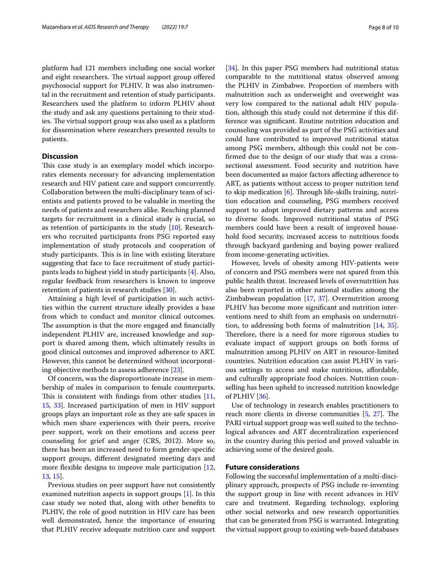platform had 121 members including one social worker and eight researchers. The virtual support group offered psychosocial support for PLHIV. It was also instrumental in the recruitment and retention of study participants. Researchers used the platform to inform PLHIV about the study and ask any questions pertaining to their studies. The virtual support group was also used as a platform for dissemination where researchers presented results to patients.

# **Discussion**

This case study is an exemplary model which incorporates elements necessary for advancing implementation research and HIV patient care and support concurrently. Collaboration between the multi-disciplinary team of scientists and patients proved to be valuable in meeting the needs of patients and researchers alike. Reaching planned targets for recruitment in a clinical study is crucial, so as retention of participants in the study [\[10](#page-9-17)]. Researchers who recruited participants from PSG reported easy implementation of study protocols and cooperation of study participants. This is in line with existing literature suggesting that face to face recruitment of study participants leads to highest yield in study participants [\[4](#page-8-3)]. Also, regular feedback from researchers is known to improve retention of patients in research studies [\[30](#page-9-18)].

Attaining a high level of participation in such activities within the current structure ideally provides a base from which to conduct and monitor clinical outcomes. The assumption is that the more engaged and financially independent PLHIV are, increased knowledge and support is shared among them, which ultimately results in good clinical outcomes and improved adherence to ART. However, this cannot be determined without incorporating objective methods to assess adherence [[23\]](#page-9-19).

Of concern, was the disproportionate increase in membership of males in comparison to female counterparts. This is consistent with findings from other studies  $[11, 16]$  $[11, 16]$ [15,](#page-9-21) [33](#page-9-22)]. Increased participation of men in HIV support groups plays an important role as they are safe spaces in which men share experiences with their peers, receive peer support, work on their emotions and access peer counseling for grief and anger (CRS, 2012). More so, there has been an increased need to form gender-specifc support groups, diferent designated meeting days and more flexible designs to improve male participation [\[12](#page-9-23), [13,](#page-9-24) [15\]](#page-9-21).

Previous studies on peer support have not consistently examined nutrition aspects in support groups [\[1\]](#page-8-0). In this case study we noted that, along with other benefts to PLHIV, the role of good nutrition in HIV care has been well demonstrated, hence the importance of ensuring that PLHIV receive adequate nutrition care and support [[34\]](#page-9-25). In this paper PSG members had nutritional status comparable to the nutritional status observed among the PLHIV in Zimbabwe. Proportion of members with malnutrition such as underweight and overweight was very low compared to the national adult HIV population, although this study could not determine if this difference was signifcant. Routine nutrition education and counseling was provided as part of the PSG activities and could have contributed to improved nutritional status among PSG members, although this could not be confrmed due to the design of our study that was a crosssectional assessment. Food security and nutrition have been documented as major factors afecting adherence to ART, as patients without access to proper nutrition tend to skip medication  $[6]$  $[6]$ . Through life-skills training, nutrition education and counseling, PSG members received support to adopt improved dietary patterns and access to diverse foods. Improved nutritional status of PSG members could have been a result of improved household food security, increased access to nutritious foods through backyard gardening and buying power realized from income-generating activities.

However, levels of obesity among HIV-patients were of concern and PSG members were not spared from this public health threat. Increased levels of overnutrition has also been reported in other national studies among the Zimbabwean population [[17,](#page-9-15) [37\]](#page-9-27). Overnutrition among PLHIV has become more signifcant and nutrition interventions need to shift from an emphasis on undernutrition, to addressing both forms of malnutrition [[14](#page-9-28), [35](#page-9-29)]. Therefore, there is a need for more rigorous studies to evaluate impact of support groups on both forms of malnutrition among PLHIV on ART in resource-limited countries. Nutrition education can assist PLHIV in various settings to access and make nutritious, afordable, and culturally appropriate food choices. Nutrition counselling has been upheld to increased nutrition knowledge of PLHIV [[36](#page-9-30)].

Use of technology in research enables practitioners to reach more clients in diverse communities  $[5, 27]$  $[5, 27]$  $[5, 27]$  $[5, 27]$ . The PARI virtual support group was well suited to the technological advances and ART decentralization experienced in the country during this period and proved valuable in achieving some of the desired goals.

# **Future considerations**

Following the successful implementation of a multi-disciplinary approach, prospects of PSG include re-inventing the support group in line with recent advances in HIV care and treatment. Regarding technology, exploring other social networks and new research opportunities that can be generated from PSG is warranted. Integrating the virtual support group to existing web-based databases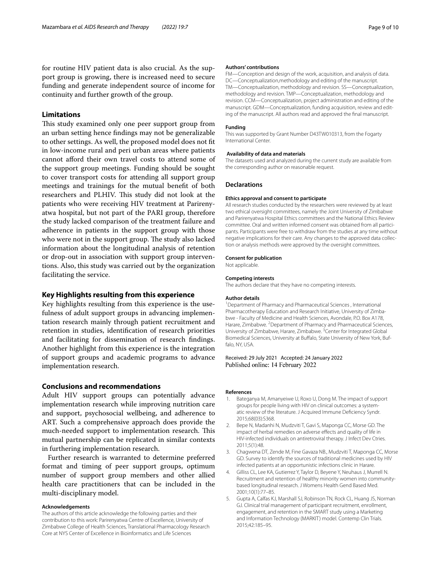for routine HIV patient data is also crucial. As the support group is growing, there is increased need to secure funding and generate independent source of income for continuity and further growth of the group.

# **Limitations**

This study examined only one peer support group from an urban setting hence fndings may not be generalizable to other settings. As well, the proposed model does not ft in low-income rural and peri urban areas where patients cannot aford their own travel costs to attend some of the support group meetings. Funding should be sought to cover transport costs for attending all support group meetings and trainings for the mutual beneft of both researchers and PLHIV. This study did not look at the patients who were receiving HIV treatment at Parirenyatwa hospital, but not part of the PARI group, therefore the study lacked comparison of the treatment failure and adherence in patients in the support group with those who were not in the support group. The study also lacked information about the longitudinal analysis of retention or drop-out in association with support group interventions. Also, this study was carried out by the organization facilitating the service.

# **Key Highlights resulting from this experience**

Key highlights resulting from this experience is the usefulness of adult support groups in advancing implementation research mainly through patient recruitment and retention in studies, identifcation of research priorities and facilitating for dissemination of research fndings. Another highlight from this experience is the integration of support groups and academic programs to advance implementation research.

## **Conclusions and recommendations**

Adult HIV support groups can potentially advance implementation research while improving nutrition care and support, psychosocial wellbeing, and adherence to ART. Such a comprehensive approach does provide the much-needed support to implementation research. This mutual partnership can be replicated in similar contexts in furthering implementation research.

Further research is warranted to determine preferred format and timing of peer support groups, optimum number of support group members and other allied health care practitioners that can be included in the multi-disciplinary model.

# **Acknowledgements**

The authors of this article acknowledge the following parties and their contribution to this work: Parirenyatwa Centre of Excellence, University of Zimbabwe College of Health Sciences, Translational Pharmacology Research Core at NYS Center of Excellence in Bioinformatics and Life Sciences

#### **Authors' contributions**

FM—Conception and design of the work, acquisition, and analysis of data. DC—Conceptualization,methodology and editing of the manuscript. TM—Conceptualization, methodology and revision. SS—Conceptualization, methodology and revision. TMP—Conceptualization, methodology and revision. CCM—Conceptualization, project administration and editing of the manuscript. GDM—Conceptualization, funding acquisition, review and editing of the manuscript. All authors read and approved the fnal manuscript.

#### **Funding**

This was supported by Grant Number D43TW010313, from the Fogarty International Center.

#### **Availability of data and materials**

The datasets used and analyzed during the current study are available from the corresponding author on reasonable request.

#### **Declarations**

# **Ethics approval and consent to participate**

All research studies conducted by the researchers were reviewed by at least two ethical oversight committees, namely the Joint University of Zimbabwe and Parirenyatwa Hospital Ethics committees and the National Ethics Review committee. Oral and written informed consent was obtained from all participants. Participants were free to withdraw from the studies at any time without negative implications for their care. Any changes to the approved data collec‑ tion or analysis methods were approved by the oversight committees.

#### **Consent for publication**

Not applicable.

## **Competing interests**

The authors declare that they have no competing interests.

#### **Author details**

<sup>1</sup> Department of Pharmacy and Pharmaceutical Sciences, International Pharmacotherapy Education and Research Initiative, University of Zimbabwe - Faculty of Medicine and Health Sciences, Avondale, P.O. Box A178, Harare, Zimbabwe. <sup>2</sup> Department of Pharmacy and Pharmaceutical Sciences, University of Zimbabwe, Harare, Zimbabwe.<sup>3</sup> Center for Integrated Global Biomedical Sciences, University at Bufalo, State University of New York, Buf‑ falo, NY, USA.

### Received: 29 July 2021 Accepted: 24 January 2022 Published online: 14 February 2022

#### **References**

- <span id="page-8-0"></span>1. Bateganya M, Amanyeiwe U, Roxo U, Dong M. The impact of support groups for people living with HIV on clinical outcomes: a systematic review of the literature. J Acquired Immune Defciency Syndr. 2015;68(03):S368.
- <span id="page-8-1"></span>2. Bepe N, Madanhi N, Mudzviti T, Gavi S, Maponga CC, Morse GD. The impact of herbal remedies on adverse efects and quality of life in HIV-infected individuals on antiretroviral therapy. J Infect Dev Ctries. 2011;5(1):48.
- <span id="page-8-2"></span>3. Chagwena DT, Zende M, Fine Gavaza NB., Mudzviti T, Maponga CC, Morse GD. Survey to identify the sources of traditional medicines used by HIV infected patients at an opportunistic infections clinic in Harare.
- <span id="page-8-3"></span>4. Gilliss CL, Lee KA, Gutierrez Y, Taylor D, Beyene Y, Neuhaus J, Murrell N. Recruitment and retention of healthy minority women into communitybased longitudinal research. J Womens Health Gend Based Med. 2001;10(1):77–85.
- <span id="page-8-4"></span>5. Gupta A, Calfas KJ, Marshall SJ, Robinson TN, Rock CL, Huang JS, Norman GJ. Clinical trial management of participant recruitment, enrollment, engagement, and retention in the SMART study using a Marketing and Information Technology (MARKIT) model. Contemp Clin Trials. 2015;42:185–95.